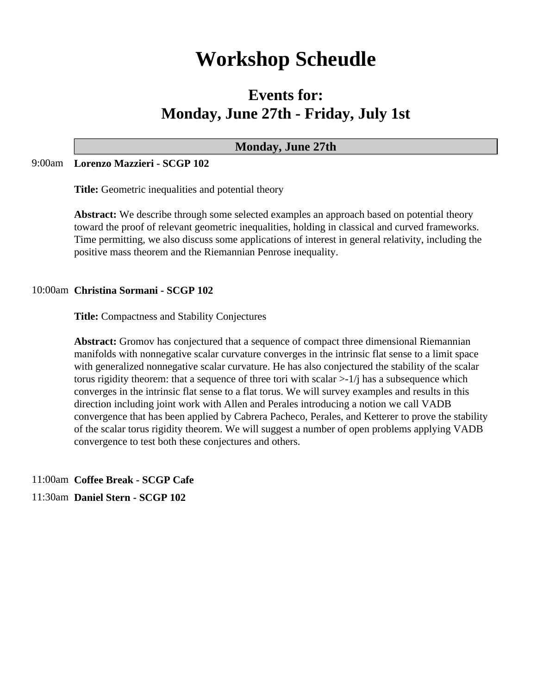# **Workshop Scheudle**

## **Events for: Monday, June 27th - Friday, July 1st**

### **Monday, June 27th**

#### 9:00am **Lorenzo Mazzieri - SCGP 102**

**Title:** Geometric inequalities and potential theory

**Abstract:** We describe through some selected examples an approach based on potential theory toward the proof of relevant geometric inequalities, holding in classical and curved frameworks. Time permitting, we also discuss some applications of interest in general relativity, including the positive mass theorem and the Riemannian Penrose inequality.

#### 10:00am **Christina Sormani - SCGP 102**

**Title:** Compactness and Stability Conjectures

**Abstract:** Gromov has conjectured that a sequence of compact three dimensional Riemannian manifolds with nonnegative scalar curvature converges in the intrinsic flat sense to a limit space with generalized nonnegative scalar curvature. He has also conjectured the stability of the scalar torus rigidity theorem: that a sequence of three tori with scalar  $>1/j$  has a subsequence which converges in the intrinsic flat sense to a flat torus. We will survey examples and results in this direction including joint work with Allen and Perales introducing a notion we call VADB convergence that has been applied by Cabrera Pacheco, Perales, and Ketterer to prove the stability of the scalar torus rigidity theorem. We will suggest a number of open problems applying VADB convergence to test both these conjectures and others.

11:00am **Coffee Break - SCGP Cafe**

11:30am **Daniel Stern - SCGP 102**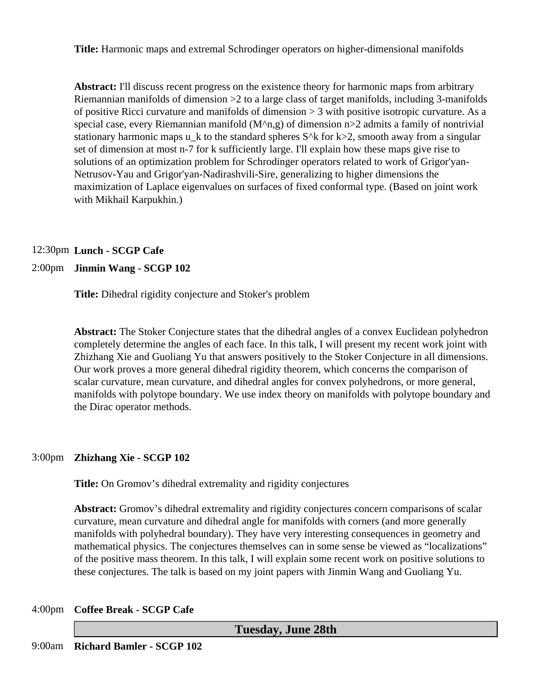**Title:** Harmonic maps and extremal Schrodinger operators on higher-dimensional manifolds

**Abstract:** I'll discuss recent progress on the existence theory for harmonic maps from arbitrary Riemannian manifolds of dimension >2 to a large class of target manifolds, including 3-manifolds of positive Ricci curvature and manifolds of dimension > 3 with positive isotropic curvature. As a special case, every Riemannian manifold  $(M^n n, g)$  of dimension n>2 admits a family of nontrivial stationary harmonic maps u<sub>k</sub> to the standard spheres  $S^k$  for  $k > 2$ , smooth away from a singular set of dimension at most n-7 for k sufficiently large. I'll explain how these maps give rise to solutions of an optimization problem for Schrodinger operators related to work of Grigor'yan-Netrusov-Yau and Grigor'yan-Nadirashvili-Sire, generalizing to higher dimensions the maximization of Laplace eigenvalues on surfaces of fixed conformal type. (Based on joint work with Mikhail Karpukhin.)

#### 12:30pm **Lunch - SCGP Cafe**

#### 2:00pm **Jinmin Wang - SCGP 102**

**Title:** Dihedral rigidity conjecture and Stoker's problem

**Abstract:** The Stoker Conjecture states that the dihedral angles of a convex Euclidean polyhedron completely determine the angles of each face. In this talk, I will present my recent work joint with Zhizhang Xie and Guoliang Yu that answers positively to the Stoker Conjecture in all dimensions. Our work proves a more general dihedral rigidity theorem, which concerns the comparison of scalar curvature, mean curvature, and dihedral angles for convex polyhedrons, or more general, manifolds with polytope boundary. We use index theory on manifolds with polytope boundary and the Dirac operator methods.

#### 3:00pm **Zhizhang Xie - SCGP 102**

**Title:** On Gromov's dihedral extremality and rigidity conjectures

**Abstract:** Gromov's dihedral extremality and rigidity conjectures concern comparisons of scalar curvature, mean curvature and dihedral angle for manifolds with corners (and more generally manifolds with polyhedral boundary). They have very interesting consequences in geometry and mathematical physics. The conjectures themselves can in some sense be viewed as "localizations" of the positive mass theorem. In this talk, I will explain some recent work on positive solutions to these conjectures. The talk is based on my joint papers with Jinmin Wang and Guoliang Yu.

#### 4:00pm **Coffee Break - SCGP Cafe**

**Tuesday, June 28th**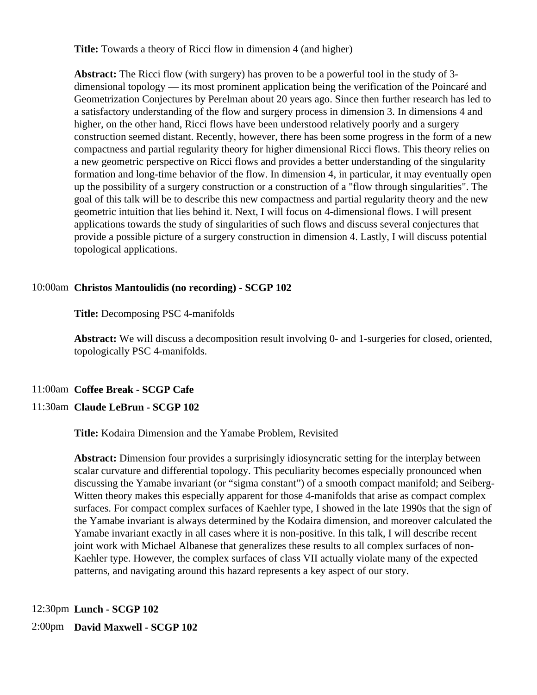**Title:** Towards a theory of Ricci flow in dimension 4 (and higher)

**Abstract:** The Ricci flow (with surgery) has proven to be a powerful tool in the study of 3 dimensional topology — its most prominent application being the verification of the Poincaré and Geometrization Conjectures by Perelman about 20 years ago. Since then further research has led to a satisfactory understanding of the flow and surgery process in dimension 3. In dimensions 4 and higher, on the other hand, Ricci flows have been understood relatively poorly and a surgery construction seemed distant. Recently, however, there has been some progress in the form of a new compactness and partial regularity theory for higher dimensional Ricci flows. This theory relies on a new geometric perspective on Ricci flows and provides a better understanding of the singularity formation and long-time behavior of the flow. In dimension 4, in particular, it may eventually open up the possibility of a surgery construction or a construction of a "flow through singularities". The goal of this talk will be to describe this new compactness and partial regularity theory and the new geometric intuition that lies behind it. Next, I will focus on 4-dimensional flows. I will present applications towards the study of singularities of such flows and discuss several conjectures that provide a possible picture of a surgery construction in dimension 4. Lastly, I will discuss potential topological applications.

#### 10:00am **Christos Mantoulidis (no recording) - SCGP 102**

**Title:** Decomposing PSC 4-manifolds

**Abstract:** We will discuss a decomposition result involving 0- and 1-surgeries for closed, oriented, topologically PSC 4-manifolds.

#### 11:00am **Coffee Break - SCGP Cafe**

#### 11:30am **Claude LeBrun - SCGP 102**

**Title:** Kodaira Dimension and the Yamabe Problem, Revisited

**Abstract:** Dimension four provides a surprisingly idiosyncratic setting for the interplay between scalar curvature and differential topology. This peculiarity becomes especially pronounced when discussing the Yamabe invariant (or "sigma constant") of a smooth compact manifold; and Seiberg-Witten theory makes this especially apparent for those 4-manifolds that arise as compact complex surfaces. For compact complex surfaces of Kaehler type, I showed in the late 1990s that the sign of the Yamabe invariant is always determined by the Kodaira dimension, and moreover calculated the Yamabe invariant exactly in all cases where it is non-positive. In this talk, I will describe recent joint work with Michael Albanese that generalizes these results to all complex surfaces of non-Kaehler type. However, the complex surfaces of class VII actually violate many of the expected patterns, and navigating around this hazard represents a key aspect of our story.

12:30pm **Lunch - SCGP 102**

2:00pm **David Maxwell - SCGP 102**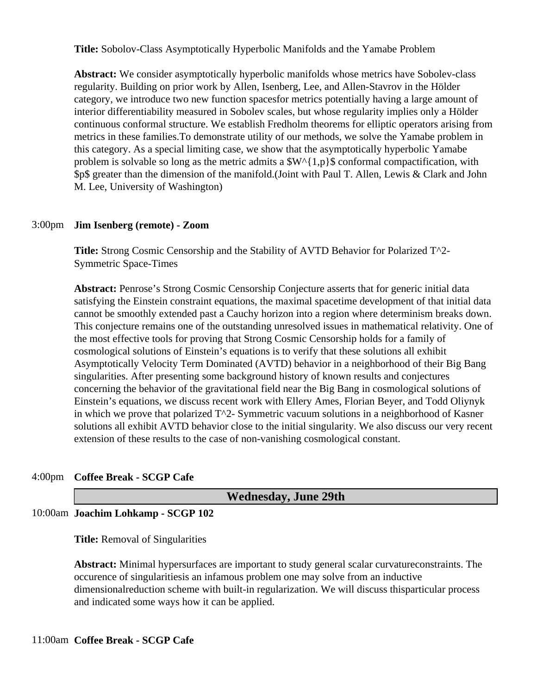**Title:** Sobolov-Class Asymptotically Hyperbolic Manifolds and the Yamabe Problem

**Abstract:** We consider asymptotically hyperbolic manifolds whose metrics have Sobolev-class regularity. Building on prior work by Allen, Isenberg, Lee, and Allen-Stavrov in the Hölder category, we introduce two new function spacesfor metrics potentially having a large amount of interior differentiability measured in Sobolev scales, but whose regularity implies only a Hölder continuous conformal structure. We establish Fredholm theorems for elliptic operators arising from metrics in these families.To demonstrate utility of our methods, we solve the Yamabe problem in this category. As a special limiting case, we show that the asymptotically hyperbolic Yamabe problem is solvable so long as the metric admits a  $W^{(1,p)}$  conformal compactification, with \$p\$ greater than the dimension of the manifold.(Joint with Paul T. Allen, Lewis & Clark and John M. Lee, University of Washington)

#### 3:00pm **Jim Isenberg (remote) - Zoom**

**Title:** Strong Cosmic Censorship and the Stability of AVTD Behavior for Polarized T^2- Symmetric Space-Times

**Abstract:** Penrose's Strong Cosmic Censorship Conjecture asserts that for generic initial data satisfying the Einstein constraint equations, the maximal spacetime development of that initial data cannot be smoothly extended past a Cauchy horizon into a region where determinism breaks down. This conjecture remains one of the outstanding unresolved issues in mathematical relativity. One of the most effective tools for proving that Strong Cosmic Censorship holds for a family of cosmological solutions of Einstein's equations is to verify that these solutions all exhibit Asymptotically Velocity Term Dominated (AVTD) behavior in a neighborhood of their Big Bang singularities. After presenting some background history of known results and conjectures concerning the behavior of the gravitational field near the Big Bang in cosmological solutions of Einstein's equations, we discuss recent work with Ellery Ames, Florian Beyer, and Todd Oliynyk in which we prove that polarized  $T^2$ - Symmetric vacuum solutions in a neighborhood of Kasner solutions all exhibit AVTD behavior close to the initial singularity. We also discuss our very recent extension of these results to the case of non-vanishing cosmological constant.

#### 4:00pm **Coffee Break - SCGP Cafe**

|   | <b>Wednesday, June 29th</b> |
|---|-----------------------------|
| . |                             |

#### 10:00am **Joachim Lohkamp - SCGP 102**

**Title:** Removal of Singularities

**Abstract:** Minimal hypersurfaces are important to study general scalar curvatureconstraints. The occurence of singularitiesis an infamous problem one may solve from an inductive dimensionalreduction scheme with built-in regularization. We will discuss thisparticular process and indicated some ways how it can be applied.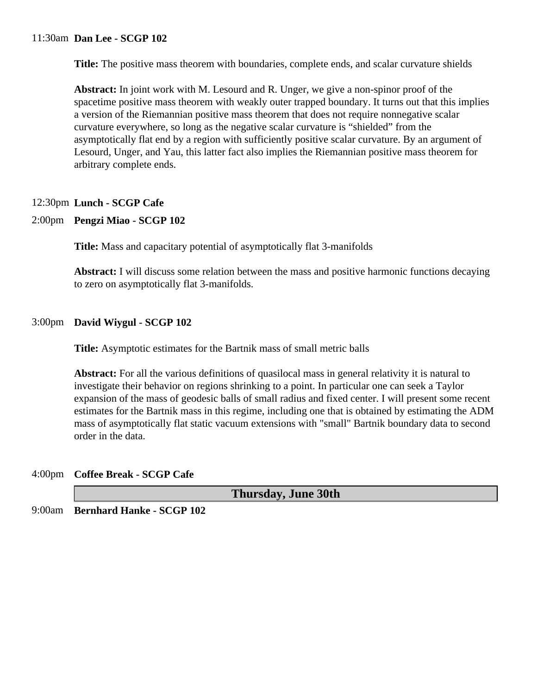#### 11:30am **Dan Lee - SCGP 102**

**Title:** The positive mass theorem with boundaries, complete ends, and scalar curvature shields

**Abstract:** In joint work with M. Lesourd and R. Unger, we give a non-spinor proof of the spacetime positive mass theorem with weakly outer trapped boundary. It turns out that this implies a version of the Riemannian positive mass theorem that does not require nonnegative scalar curvature everywhere, so long as the negative scalar curvature is "shielded" from the asymptotically flat end by a region with sufficiently positive scalar curvature. By an argument of Lesourd, Unger, and Yau, this latter fact also implies the Riemannian positive mass theorem for arbitrary complete ends.

#### 12:30pm **Lunch - SCGP Cafe**

#### 2:00pm **Pengzi Miao - SCGP 102**

**Title:** Mass and capacitary potential of asymptotically flat 3-manifolds

**Abstract:** I will discuss some relation between the mass and positive harmonic functions decaying to zero on asymptotically flat 3-manifolds.

#### 3:00pm **David Wiygul - SCGP 102**

**Title:** Asymptotic estimates for the Bartnik mass of small metric balls

**Abstract:** For all the various definitions of quasilocal mass in general relativity it is natural to investigate their behavior on regions shrinking to a point. In particular one can seek a Taylor expansion of the mass of geodesic balls of small radius and fixed center. I will present some recent estimates for the Bartnik mass in this regime, including one that is obtained by estimating the ADM mass of asymptotically flat static vacuum extensions with "small" Bartnik boundary data to second order in the data.

#### 4:00pm **Coffee Break - SCGP Cafe**

**Thursday, June 30th** 9:00am **Bernhard Hanke - SCGP 102**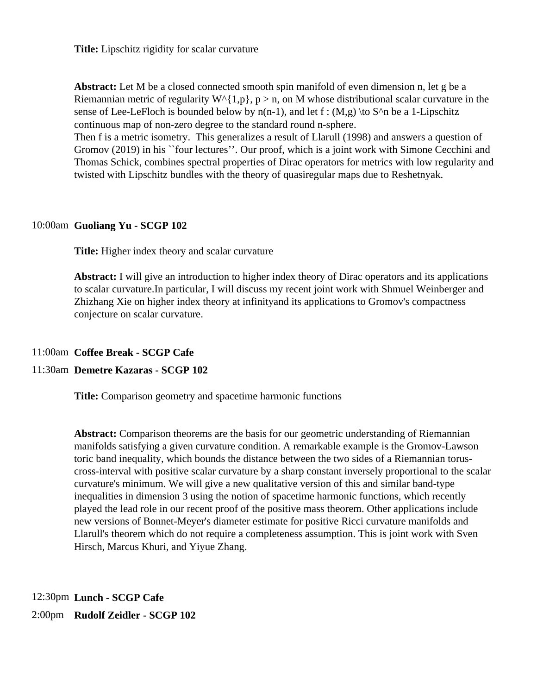**Title:** Lipschitz rigidity for scalar curvature

Abstract: Let M be a closed connected smooth spin manifold of even dimension n, let g be a Riemannian metric of regularity  $W^{\wedge}{1,p}$ , p > n, on M whose distributional scalar curvature in the sense of Lee-LeFloch is bounded below by  $n(n-1)$ , and let f :  $(M,g)$  \to S^n be a 1-Lipschitz continuous map of non-zero degree to the standard round n-sphere.

Then f is a metric isometry. This generalizes a result of Llarull (1998) and answers a question of Gromov (2019) in his ``four lectures''. Our proof, which is a joint work with Simone Cecchini and Thomas Schick, combines spectral properties of Dirac operators for metrics with low regularity and twisted with Lipschitz bundles with the theory of quasiregular maps due to Reshetnyak.

#### 10:00am **Guoliang Yu - SCGP 102**

**Title:** Higher index theory and scalar curvature

**Abstract:** I will give an introduction to higher index theory of Dirac operators and its applications to scalar curvature.In particular, I will discuss my recent joint work with Shmuel Weinberger and Zhizhang Xie on higher index theory at infinityand its applications to Gromov's compactness conjecture on scalar curvature.

#### 11:00am **Coffee Break - SCGP Cafe**

#### 11:30am **Demetre Kazaras - SCGP 102**

**Title:** Comparison geometry and spacetime harmonic functions

**Abstract:** Comparison theorems are the basis for our geometric understanding of Riemannian manifolds satisfying a given curvature condition. A remarkable example is the Gromov-Lawson toric band inequality, which bounds the distance between the two sides of a Riemannian toruscross-interval with positive scalar curvature by a sharp constant inversely proportional to the scalar curvature's minimum. We will give a new qualitative version of this and similar band-type inequalities in dimension 3 using the notion of spacetime harmonic functions, which recently played the lead role in our recent proof of the positive mass theorem. Other applications include new versions of Bonnet-Meyer's diameter estimate for positive Ricci curvature manifolds and Llarull's theorem which do not require a completeness assumption. This is joint work with Sven Hirsch, Marcus Khuri, and Yiyue Zhang.

12:30pm **Lunch - SCGP Cafe** 2:00pm **Rudolf Zeidler - SCGP 102**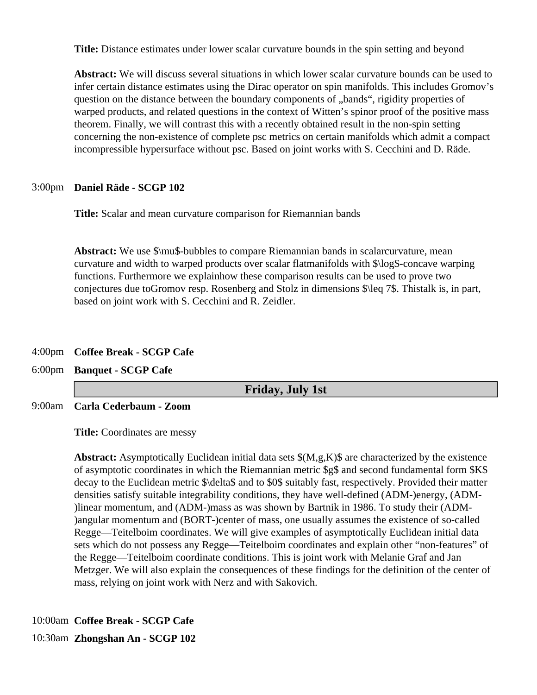**Title:** Distance estimates under lower scalar curvature bounds in the spin setting and beyond

**Abstract:** We will discuss several situations in which lower scalar curvature bounds can be used to infer certain distance estimates using the Dirac operator on spin manifolds. This includes Gromov's question on the distance between the boundary components of "bands", rigidity properties of warped products, and related questions in the context of Witten's spinor proof of the positive mass theorem. Finally, we will contrast this with a recently obtained result in the non-spin setting concerning the non-existence of complete psc metrics on certain manifolds which admit a compact incompressible hypersurface without psc. Based on joint works with S. Cecchini and D. Räde.

#### 3:00pm **Daniel Räde - SCGP 102**

**Title:** Scalar and mean curvature comparison for Riemannian bands

**Abstract:** We use \$\mu\$-bubbles to compare Riemannian bands in scalarcurvature, mean curvature and width to warped products over scalar flatmanifolds with \$\log\$-concave warping functions. Furthermore we explainhow these comparison results can be used to prove two conjectures due toGromov resp. Rosenberg and Stolz in dimensions \$\leq 7\$. Thistalk is, in part, based on joint work with S. Cecchini and R. Zeidler.

#### 4:00pm **Coffee Break - SCGP Cafe**

6:00pm **Banquet - SCGP Cafe**

**Friday, July 1st**

9:00am **Carla Cederbaum - Zoom**

**Title:** Coordinates are messy

**Abstract:** Asymptotically Euclidean initial data sets \$(M,g,K)\$ are characterized by the existence of asymptotic coordinates in which the Riemannian metric \$g\$ and second fundamental form \$K\$ decay to the Euclidean metric \$\delta\$ and to \$0\$ suitably fast, respectively. Provided their matter densities satisfy suitable integrability conditions, they have well-defined (ADM-)energy, (ADM- )linear momentum, and (ADM-)mass as was shown by Bartnik in 1986. To study their (ADM- )angular momentum and (BORT-)center of mass, one usually assumes the existence of so-called Regge—Teitelboim coordinates. We will give examples of asymptotically Euclidean initial data sets which do not possess any Regge—Teitelboim coordinates and explain other "non-features" of the Regge—Teitelboim coordinate conditions. This is joint work with Melanie Graf and Jan Metzger. We will also explain the consequences of these findings for the definition of the center of mass, relying on joint work with Nerz and with Sakovich.

10:00am **Coffee Break - SCGP Cafe**

10:30am **Zhongshan An - SCGP 102**